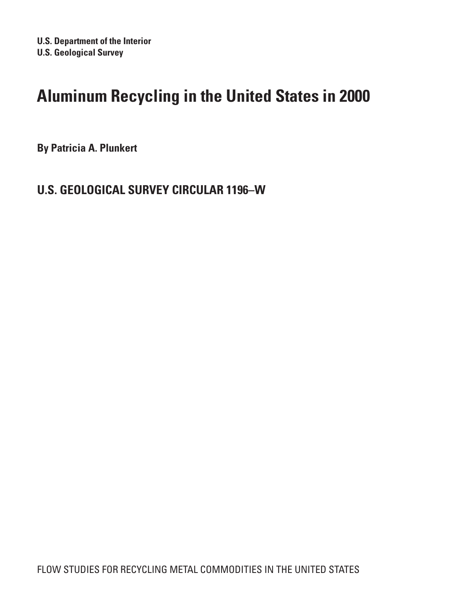# **Aluminum Recycling in the United States in 2000**

**By Patricia A. Plunkert**

# **U.S. Geological Survey Circular 1196–W**

Flow Studies for RECYCLING METAL COMMODITIES IN the United States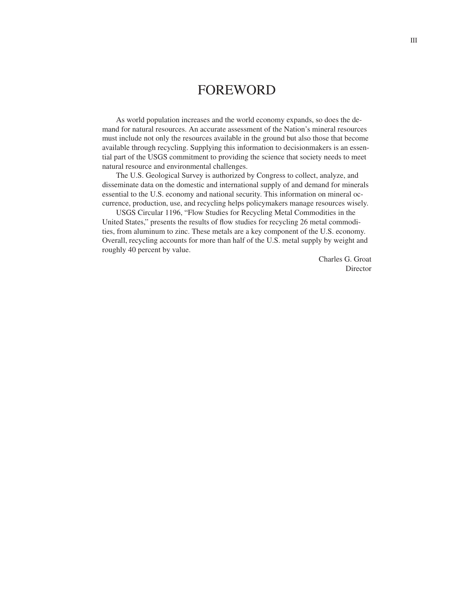## **FOREWORD**

As world population increases and the world economy expands, so does the demand for natural resources. An accurate assessment of the Nation's mineral resources must include not only the resources available in the ground but also those that become available through recycling. Supplying this information to decisionmakers is an essential part of the USGS commitment to providing the science that society needs to meet natural resource and environmental challenges.

The U.S. Geological Survey is authorized by Congress to collect, analyze, and disseminate data on the domestic and international supply of and demand for minerals essential to the U.S. economy and national security. This information on mineral occurrence, production, use, and recycling helps policymakers manage resources wisely.

USGS Circular 1196, "Flow Studies for Recycling Metal Commodities in the United States," presents the results of flow studies for recycling 26 metal commodities, from aluminum to zinc. These metals are a key component of the U.S. economy. Overall, recycling accounts for more than half of the U.S. metal supply by weight and roughly 40 percent by value.

> Charles G. Groat Director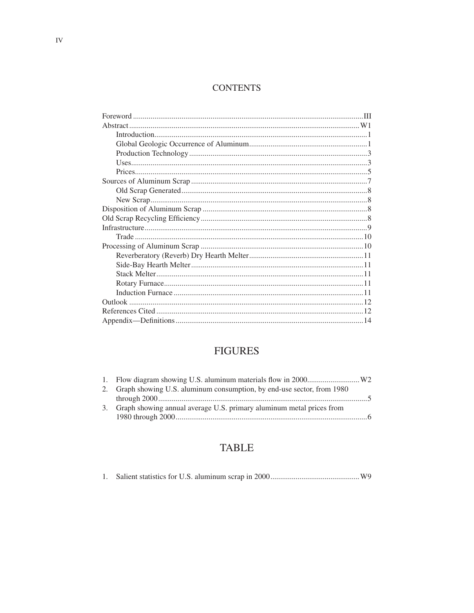### **CONTENTS**

# **FIGURES**

| 2. Graph showing U.S. aluminum consumption, by end-use sector, from 1980 |  |
|--------------------------------------------------------------------------|--|
|                                                                          |  |
| 3. Graph showing annual average U.S. primary aluminum metal prices from  |  |

## **TABLE**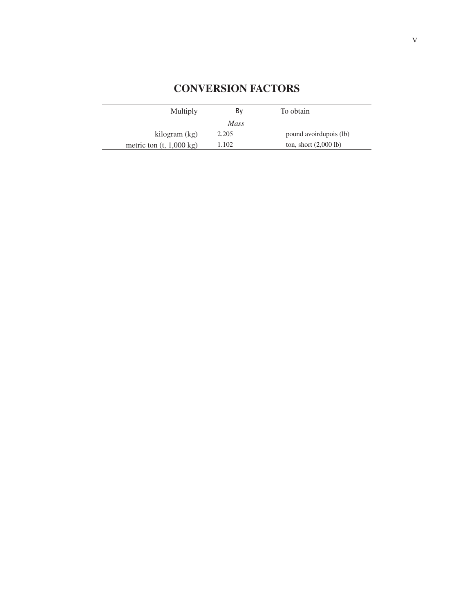| <b>Multiply</b>                    | Bv    | To obtain                       |  |  |
|------------------------------------|-------|---------------------------------|--|--|
| <i>Mass</i>                        |       |                                 |  |  |
| kilogram (kg)                      | 2.205 | pound avoirdupois (lb)          |  |  |
| metric ton $(t, 1,000 \text{ kg})$ | .102  | ton, short $(2,000 \text{ lb})$ |  |  |

# **Conversion Factors**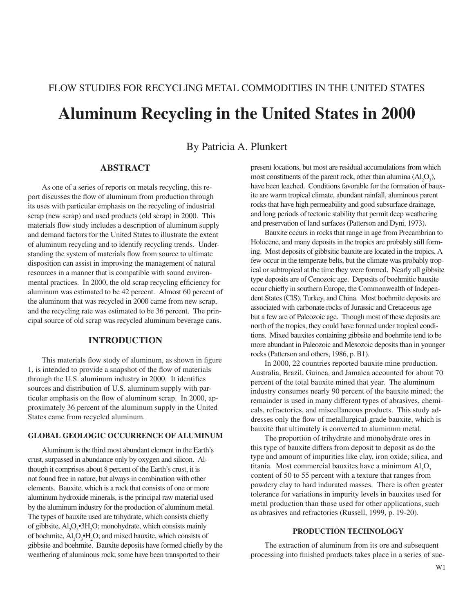# Flow Studies for Recycling Metal Commodities in the United States **Aluminum Recycling in the United States in 2000**

By Patricia A. Plunkert

#### **Abstract**

As one of a series of reports on metals recycling, this report discusses the flow of aluminum from production through its uses with particular emphasis on the recycling of industrial scrap (new scrap) and used products (old scrap) in 2000. This materials flow study includes a description of aluminum supply and demand factors for the United States to illustrate the extent of aluminum recycling and to identify recycling trends. Understanding the system of materials flow from source to ultimate disposition can assist in improving the management of natural resources in a manner that is compatible with sound environmental practices. In 2000, the old scrap recycling efficiency for aluminum was estimated to be 42 percent. Almost 60 percent of the aluminum that was recycled in 2000 came from new scrap, and the recycling rate was estimated to be 36 percent. The principal source of old scrap was recycled aluminum beverage cans.

#### **Introduction**

This materials flow study of aluminum, as shown in figure 1, is intended to provide a snapshot of the flow of materials through the U.S. aluminum industry in 2000. It identifies sources and distribution of U.S. aluminum supply with particular emphasis on the flow of aluminum scrap. In 2000, approximately 36 percent of the aluminum supply in the United States came from recycled aluminum.

#### **Global Geologic Occurrence of Aluminum**

Aluminum is the third most abundant element in the Earth's crust, surpassed in abundance only by oxygen and silicon. Although it comprises about 8 percent of the Earth's crust, it is not found free in nature, but always in combination with other elements. Bauxite, which is a rock that consists of one or more aluminum hydroxide minerals, is the principal raw material used by the aluminum industry for the production of aluminum metal. The types of bauxite used are trihydrate, which consists chiefly of gibbsite,  $Al_2O_3$ <sup>3</sup>H<sub>2</sub>O; monohydrate, which consists mainly of boehmite,  $Al_2O_3\text{--}H_2O$ ; and mixed bauxite, which consists of gibbsite and boehmite. Bauxite deposits have formed chiefly by the weathering of aluminous rock; some have been transported to their

present locations, but most are residual accumulations from which most constituents of the parent rock, other than alumina  $(Al_2O_3)$ , have been leached. Conditions favorable for the formation of bauxite are warm tropical climate, abundant rainfall, aluminous parent rocks that have high permeability and good subsurface drainage, and long periods of tectonic stability that permit deep weathering and preservation of land surfaces (Patterson and Dyni, 1973).

Bauxite occurs in rocks that range in age from Precambrian to Holocene, and many deposits in the tropics are probably still forming. Most deposits of gibbsitic bauxite are located in the tropics. A few occur in the temperate belts, but the climate was probably tropical or subtropical at the time they were formed. Nearly all gibbsite type deposits are of Cenozoic age. Deposits of boehmitic bauxite occur chiefly in southern Europe, the Commonwealth of Independent States (CIS), Turkey, and China. Most boehmite deposits are associated with carbonate rocks of Jurassic and Cretaceous age but a few are of Paleozoic age. Though most of these deposits are north of the tropics, they could have formed under tropical conditions. Mixed bauxites containing gibbsite and boehmite tend to be more abundant in Paleozoic and Mesozoic deposits than in younger rocks (Patterson and others, 1986, p. B1).

In 2000, 22 countries reported bauxite mine production. Australia, Brazil, Guinea, and Jamaica accounted for about 70 percent of the total bauxite mined that year. The aluminum industry consumes nearly 90 percent of the bauxite mined; the remainder is used in many different types of abrasives, chemicals, refractories, and miscellaneous products. This study addresses only the flow of metallurgical-grade bauxite, which is bauxite that ultimately is converted to aluminum metal.

The proportion of trihydrate and monohydrate ores in this type of bauxite differs from deposit to deposit as do the type and amount of impurities like clay, iron oxide, silica, and titania. Most commercial bauxites have a minimum  $Al_2O_3$ content of 50 to 55 percent with a texture that ranges from powdery clay to hard indurated masses. There is often greater tolerance for variations in impurity levels in bauxites used for metal production than those used for other applications, such as abrasives and refractories (Russell, 1999, p. 19-20).

#### **Production Technology**

The extraction of aluminum from its ore and subsequent processing into finished products takes place in a series of suc-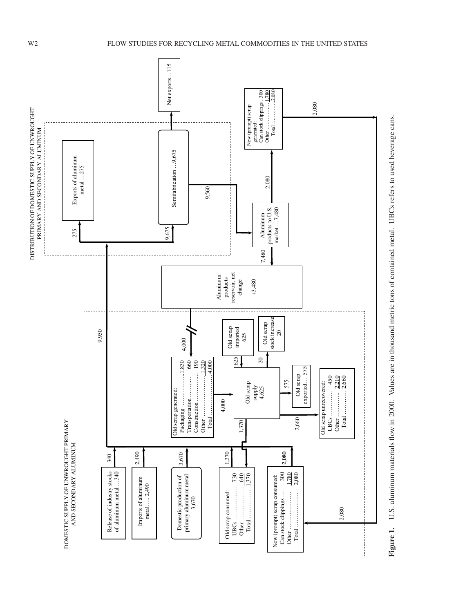

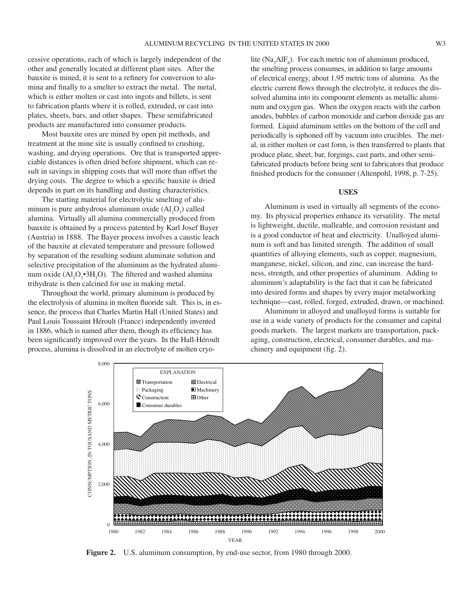cessive operations, each of which is largely independent of the other and generally located at different plant sites. After the bauxite is mined, it is sent to a refinery for conversion to alumina and finally to a smelter to extract the metal. The metal, which is either molten or cast into ingots and billets, is sent to fabrication plants where it is rolled, extruded, or cast into plates, sheets, bars, and other shapes. These semifabricated products are manufactured into consumer products.

Most bauxite ores are mined by open pit methods, and treatment at the mine site is usually confined to crushing, washing, and drying operations. Ore that is transported appreciable distances is often dried before shipment, which can result in savings in shipping costs that will more than offset the drying costs. The degree to which a specific bauxite is dried depends in part on its handling and dusting characteristics.

The starting material for electrolytic smelting of aluminum is pure anhydrous aluminum oxide  $(Al_2O_3)$  called alumina. Virtually all alumina commercially produced from bauxite is obtained by a process patented by Karl Josef Bayer (Austria) in 1888. The Bayer process involves a caustic leach of the bauxite at elevated temperature and pressure followed by separation of the resulting sodium aluminate solution and selective precipitation of the aluminum as the hydrated aluminum oxide  $(Al_2O_3 \cdot 3H_2O)$ . The filtered and washed alumina trihydrate is then calcined for use in making metal.

Throughout the world, primary aluminum is produced by the electrolysis of alumina in molten fluoride salt. This is, in essence, the process that Charles Martin Hall (United States) and Paul Louis Toussaint Héroult (France) independently invented in 1886, which is named after them, though its efficiency has been significantly improved over the years. In the Hall-Héroult process, alumina is dissolved in an electrolyte of molten cryolite ( $\text{Na}_3\text{AlF}_6$ ). For each metric ton of aluminum produced, the smelting process consumes, in addition to large amounts of electrical energy, about 1.95 metric tons of alumina. As the electric current flows through the electrolyte, it reduces the dissolved alumina into its component elements as metallic aluminum and oxygen gas. When the oxygen reacts with the carbon anodes, bubbles of carbon monoxide and carbon dioxide gas are formed. Liquid aluminum settles on the bottom of the cell and periodically is siphoned off by vacuum into crucibles. The metal, in either molten or cast form, is then transferred to plants that produce plate, sheet, bar, forgings, cast parts, and other semifabricated products before being sent to fabricators that produce finished products for the consumer (Altenpohl, 1998, p. 7-25).

#### **Uses**

Aluminum is used in virtually all segments of the economy. Its physical properties enhance its versatility. The metal is lightweight, ductile, malleable, and corrosion resistant and is a good conductor of heat and electricity. Unalloyed aluminum is soft and has limited strength. The addition of small quantities of alloying elements, such as copper, magnesium, manganese, nickel, silicon, and zinc, can increase the hardness, strength, and other properties of aluminum. Adding to aluminum's adaptability is the fact that it can be fabricated into desired forms and shapes by every major metalworking technique—cast, rolled, forged, extruded, drawn, or machined.

Aluminum in alloyed and unalloyed forms is suitable for use in a wide variety of products for the consumer and capital goods markets. The largest markets are transportation, packaging, construction, electrical, consumer durables, and machinery and equipment (fig. 2).

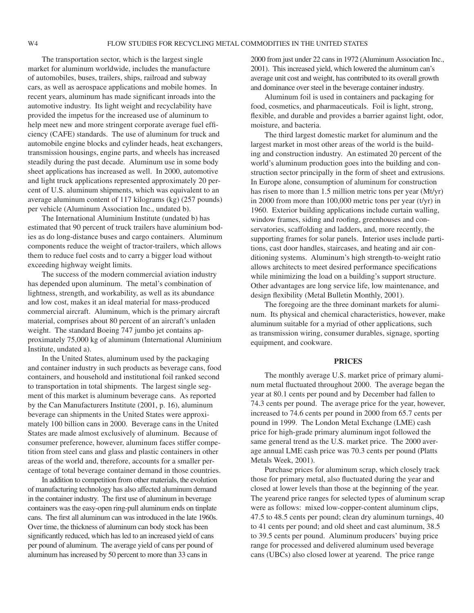The transportation sector, which is the largest single market for aluminum worldwide, includes the manufacture of automobiles, buses, trailers, ships, railroad and subway cars, as well as aerospace applications and mobile homes. In recent years, aluminum has made significant inroads into the automotive industry. Its light weight and recyclability have provided the impetus for the increased use of aluminum to help meet new and more stringent corporate average fuel efficiency (CAFE) standards. The use of aluminum for truck and automobile engine blocks and cylinder heads, heat exchangers, transmission housings, engine parts, and wheels has increased steadily during the past decade. Aluminum use in some body sheet applications has increased as well. In 2000, automotive and light truck applications represented approximately 20 percent of U.S. aluminum shipments, which was equivalent to an average aluminum content of 117 kilograms (kg) (257 pounds) per vehicle (Aluminum Association Inc., undated b).

The International Aluminium Institute (undated b) has estimated that 90 percent of truck trailers have aluminium bodies as do long-distance buses and cargo containers. Aluminum components reduce the weight of tractor-trailers, which allows them to reduce fuel costs and to carry a bigger load without exceeding highway weight limits.

The success of the modern commercial aviation industry has depended upon aluminum. The metal's combination of lightness, strength, and workability, as well as its abundance and low cost, makes it an ideal material for mass-produced commercial aircraft. Aluminum, which is the primary aircraft material, comprises about 80 percent of an aircraft's unladen weight. The standard Boeing 747 jumbo jet contains approximately 75,000 kg of aluminum (International Aluminium Institute, undated a).

In the United States, aluminum used by the packaging and container industry in such products as beverage cans, food containers, and household and institutional foil ranked second to transportation in total shipments. The largest single segment of this market is aluminum beverage cans. As reported by the Can Manufacturers Institute (2001, p. 16), aluminum beverage can shipments in the United States were approximately 100 billion cans in 2000. Beverage cans in the United States are made almost exclusively of aluminum. Because of consumer preference, however, aluminum faces stiffer competition from steel cans and glass and plastic containers in other areas of the world and, therefore, accounts for a smaller percentage of total beverage container demand in those countries.

In addition to competition from other materials, the evolution of manufacturing technology has also affected aluminum demand in the container industry. The first use of aluminum in beverage containers was the easy-open ring-pull aluminum ends on tinplate cans. The first all aluminum can was introduced in the late 1960s. Over time, the thickness of aluminum can body stock has been significantly reduced, which has led to an increased yield of cans per pound of aluminum. The average yield of cans per pound of aluminum has increased by 50 percent to more than 33 cans in

2000 from just under 22 cans in 1972 (Aluminum Association Inc., 2001). This increased yield, which lowered the aluminum can's average unit cost and weight, has contributed to its overall growth and dominance over steel in the beverage container industry.

Aluminum foil is used in containers and packaging for food, cosmetics, and pharmaceuticals. Foil is light, strong, flexible, and durable and provides a barrier against light, odor, moisture, and bacteria.

The third largest domestic market for aluminum and the largest market in most other areas of the world is the building and construction industry. An estimated 20 percent of the world's aluminum production goes into the building and construction sector principally in the form of sheet and extrusions. In Europe alone, consumption of aluminum for construction has risen to more than 1.5 million metric tons per year (Mt/yr) in 2000 from more than 100,000 metric tons per year (t/yr) in 1960. Exterior building applications include curtain walling, window frames, siding and roofing, greenhouses and conservatories, scaffolding and ladders, and, more recently, the supporting frames for solar panels. Interior uses include partitions, cast door handles, staircases, and heating and air conditioning systems. Aluminum's high strength-to-weight ratio allows architects to meet desired performance specifications while minimizing the load on a building's support structure. Other advantages are long service life, low maintenance, and design flexibility (Metal Bulletin Monthly, 2001).

The foregoing are the three dominant markets for aluminum. Its physical and chemical characteristics, however, make aluminum suitable for a myriad of other applications, such as transmission wiring, consumer durables, signage, sporting equipment, and cookware.

#### **Prices**

The monthly average U.S. market price of primary aluminum metal fluctuated throughout 2000. The average began the year at 80.1 cents per pound and by December had fallen to 74.3 cents per pound. The average price for the year, however, increased to 74.6 cents per pound in 2000 from 65.7 cents per pound in 1999. The London Metal Exchange (LME) cash price for high-grade primary aluminum ingot followed the same general trend as the U.S. market price. The 2000 average annual LME cash price was 70.3 cents per pound (Platts Metals Week, 2001).

Purchase prices for aluminum scrap, which closely track those for primary metal, also fluctuated during the year and closed at lower levels than those at the beginning of the year. The yearend price ranges for selected types of aluminum scrap were as follows: mixed low-copper-content aluminum clips, 47.5 to 48.5 cents per pound; clean dry aluminum turnings, 40 to 41 cents per pound; and old sheet and cast aluminum, 38.5 to 39.5 cents per pound. Aluminum producers' buying price range for processed and delivered aluminum used beverage cans (UBCs) also closed lower at yearend. The price range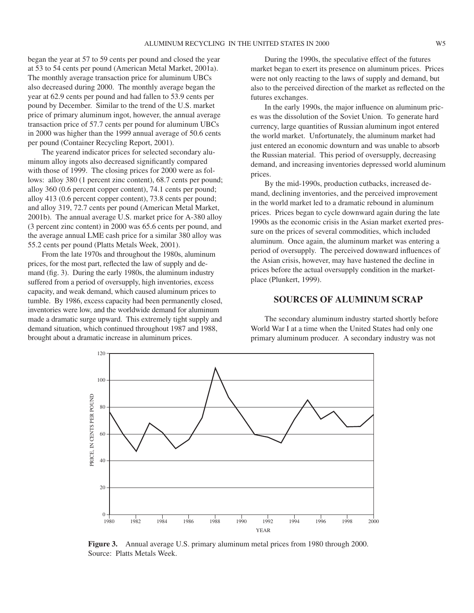began the year at 57 to 59 cents per pound and closed the year at 53 to 54 cents per pound (American Metal Market, 2001a). The monthly average transaction price for aluminum UBCs also decreased during 2000. The monthly average began the year at 62.9 cents per pound and had fallen to 53.9 cents per pound by December. Similar to the trend of the U.S. market price of primary aluminum ingot, however, the annual average transaction price of 57.7 cents per pound for aluminum UBCs in 2000 was higher than the 1999 annual average of 50.6 cents per pound (Container Recycling Report, 2001).

The yearend indicator prices for selected secondary aluminum alloy ingots also decreased significantly compared with those of 1999. The closing prices for 2000 were as follows: alloy 380 (1 percent zinc content), 68.7 cents per pound; alloy 360 (0.6 percent copper content), 74.1 cents per pound; alloy 413 (0.6 percent copper content), 73.8 cents per pound; and alloy 319, 72.7 cents per pound (American Metal Market, 2001b). The annual average U.S. market price for A-380 alloy (3 percent zinc content) in 2000 was 65.6 cents per pound, and the average annual LME cash price for a similar 380 alloy was 55.2 cents per pound (Platts Metals Week, 2001).

From the late 1970s and throughout the 1980s, aluminum prices, for the most part, reflected the law of supply and demand (fig. 3). During the early 1980s, the aluminum industry suffered from a period of oversupply, high inventories, excess capacity, and weak demand, which caused aluminum prices to tumble. By 1986, excess capacity had been permanently closed, inventories were low, and the worldwide demand for aluminum made a dramatic surge upward. This extremely tight supply and demand situation, which continued throughout 1987 and 1988, brought about a dramatic increase in aluminum prices.

During the 1990s, the speculative effect of the futures market began to exert its presence on aluminum prices. Prices were not only reacting to the laws of supply and demand, but also to the perceived direction of the market as reflected on the futures exchanges.

In the early 1990s, the major influence on aluminum prices was the dissolution of the Soviet Union. To generate hard currency, large quantities of Russian aluminum ingot entered the world market. Unfortunately, the aluminum market had just entered an economic downturn and was unable to absorb the Russian material. This period of oversupply, decreasing demand, and increasing inventories depressed world aluminum prices.

By the mid-1990s, production cutbacks, increased demand, declining inventories, and the perceived improvement in the world market led to a dramatic rebound in aluminum prices. Prices began to cycle downward again during the late 1990s as the economic crisis in the Asian market exerted pressure on the prices of several commodities, which included aluminum. Once again, the aluminum market was entering a period of oversupply. The perceived downward influences of the Asian crisis, however, may have hastened the decline in prices before the actual oversupply condition in the marketplace (Plunkert, 1999).

#### **Sources of Aluminum Scrap**

The secondary aluminum industry started shortly before World War I at a time when the United States had only one primary aluminum producer. A secondary industry was not



**Figure 3.** Annual average U.S. primary aluminum metal prices from 1980 through 2000.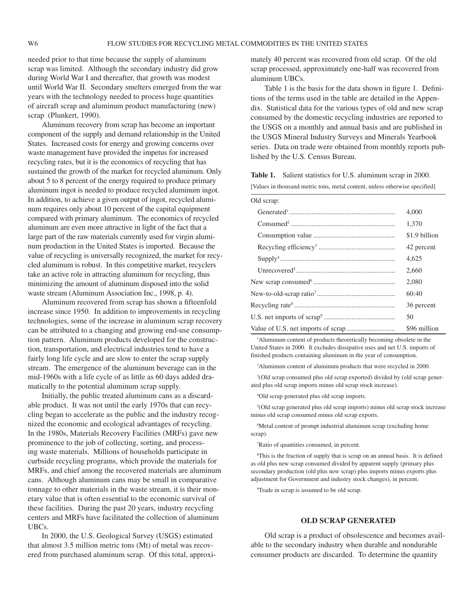needed prior to that time because the supply of aluminum scrap was limited. Although the secondary industry did grow during World War I and thereafter, that growth was modest until World War II. Secondary smelters emerged from the war years with the technology needed to process huge quantities of aircraft scrap and aluminum product manufacturing (new) scrap (Plunkert, 1990).

Aluminum recovery from scrap has become an important component of the supply and demand relationship in the United States. Increased costs for energy and growing concerns over waste management have provided the impetus for increased recycling rates, but it is the economics of recycling that has sustained the growth of the market for recycled aluminum. Only about 5 to 8 percent of the energy required to produce primary aluminum ingot is needed to produce recycled aluminum ingot. In addition, to achieve a given output of ingot, recycled aluminum requires only about 10 percent of the capital equipment compared with primary aluminum. The economics of recycled aluminum are even more attractive in light of the fact that a large part of the raw materials currently used for virgin aluminum production in the United States is imported. Because the value of recycling is universally recognized, the market for recycled aluminum is robust. In this competitive market, recyclers take an active role in attracting aluminum for recycling, thus minimizing the amount of aluminum disposed into the solid waste stream (Aluminum Association Inc., 1998, p. 4).

Aluminum recovered from scrap has shown a fifteenfold increase since 1950. In addition to improvements in recycling technologies, some of the increase in aluminum scrap recovery can be attributed to a changing and growing end-use consumption pattern. Aluminum products developed for the construction, transportation, and electrical industries tend to have a fairly long life cycle and are slow to enter the scrap supply stream. The emergence of the aluminum beverage can in the mid-1960s with a life cycle of as little as 60 days added dramatically to the potential aluminum scrap supply.

Initially, the public treated aluminum cans as a discardable product. It was not until the early 1970s that can recycling began to accelerate as the public and the industry recognized the economic and ecological advantages of recycling. In the 1980s, Materials Recovery Facilities (MRFs) gave new prominence to the job of collecting, sorting, and processing waste materials. Millions of households participate in curbside recycling programs, which provide the materials for MRFs, and chief among the recovered materials are aluminum cans. Although aluminum cans may be small in comparative tonnage to other materials in the waste stream, it is their monetary value that is often essential to the economic survival of these facilities. During the past 20 years, industry recycling centers and MRFs have facilitated the collection of aluminum UBCs.

In 2000, the U.S. Geological Survey (USGS) estimated that almost 3.5 million metric tons (Mt) of metal was recovered from purchased aluminum scrap. Of this total, approximately 40 percent was recovered from old scrap. Of the old scrap processed, approximately one-half was recovered from aluminum UBCs.

Table 1 is the basis for the data shown in figure 1. Definitions of the terms used in the table are detailed in the Appendix. Statistical data for the various types of old and new scrap consumed by the domestic recycling industries are reported to the USGS on a monthly and annual basis and are published in the USGS Mineral Industry Surveys and Minerals Yearbook series. Data on trade were obtained from monthly reports published by the U.S. Census Bureau.

**Table 1.** Salient statistics for U.S. aluminum scrap in 2000.

[Values in thousand metric tons, metal content, unless otherwise specified]

| Old scrap: |               |
|------------|---------------|
|            | 4,000         |
|            | 1,370         |
|            | \$1.9 billion |
|            | 42 percent    |
|            | 4.625         |
|            | 2.660         |
|            | 2.080         |
|            | 60:40         |
|            | 36 percent    |
|            | 50            |
|            | \$96 million  |

1 Aluminum content of products theoretically becoming obsolete in the United States in 2000. It excludes dissipative uses and net U.S. imports of finished products containing aluminum in the year of consumption.

2 Aluminum content of aluminum products that were recycled in 2000.

3 (Old scrap consumed plus old scrap exported) divided by (old scrap generated plus old scrap imports minus old scrap stock increase).

4 Old scrap generated plus old scrap imports.

5 (Old scrap generated plus old scrap imports) minus old scrap stock increase minus old scrap consumed minus old scrap exports.

6 Metal content of prompt industrial aluminum scrap (excluding home scrap).

7 Ratio of quantities consumed, in percent.

8 This is the fraction of supply that is scrap on an annual basis. It is defined as old plus new scrap consumed divided by apparent supply (primary plus secondary production (old plus new scrap) plus imports minus exports plus adjustment for Government and industry stock changes), in percent.

9 Trade in scrap is assumed to be old scrap.

#### **Old Scrap Generated**

Old scrap is a product of obsolescence and becomes available to the secondary industry when durable and nondurable consumer products are discarded. To determine the quantity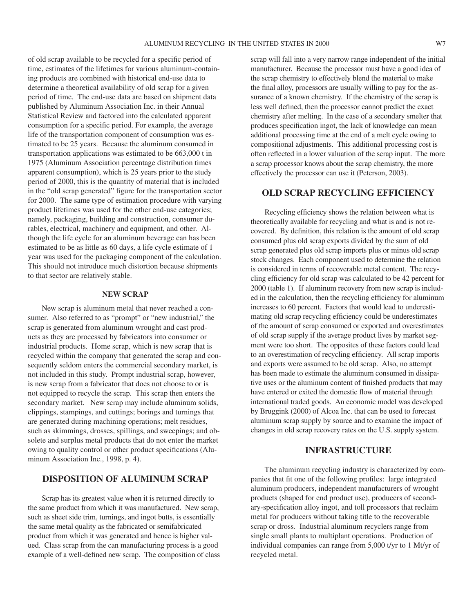of old scrap available to be recycled for a specific period of time, estimates of the lifetimes for various aluminum-containing products are combined with historical end-use data to determine a theoretical availability of old scrap for a given period of time. The end-use data are based on shipment data published by Aluminum Association Inc. in their Annual Statistical Review and factored into the calculated apparent consumption for a specific period. For example, the average life of the transportation component of consumption was estimated to be 25 years. Because the aluminum consumed in transportation applications was estimated to be 663,000 t in 1975 (Aluminum Association percentage distribution times apparent consumption), which is 25 years prior to the study period of 2000, this is the quantity of material that is included in the "old scrap generated" figure for the transportation sector for 2000. The same type of estimation procedure with varying product lifetimes was used for the other end-use categories; namely, packaging, building and construction, consumer durables, electrical, machinery and equipment, and other. Although the life cycle for an aluminum beverage can has been estimated to be as little as 60 days, a life cycle estimate of 1 year was used for the packaging component of the calculation. This should not introduce much distortion because shipments to that sector are relatively stable.

#### **New Scrap**

New scrap is aluminum metal that never reached a consumer. Also referred to as "prompt" or "new industrial," the scrap is generated from aluminum wrought and cast products as they are processed by fabricators into consumer or industrial products. Home scrap, which is new scrap that is recycled within the company that generated the scrap and consequently seldom enters the commercial secondary market, is not included in this study. Prompt industrial scrap, however, is new scrap from a fabricator that does not choose to or is not equipped to recycle the scrap. This scrap then enters the secondary market. New scrap may include aluminum solids, clippings, stampings, and cuttings; borings and turnings that are generated during machining operations; melt residues, such as skimmings, drosses, spillings, and sweepings; and obsolete and surplus metal products that do not enter the market owing to quality control or other product specifications (Aluminum Association Inc., 1998, p. 4).

#### **Disposition of Aluminum Scrap**

Scrap has its greatest value when it is returned directly to the same product from which it was manufactured. New scrap, such as sheet side trim, turnings, and ingot butts, is essentially the same metal quality as the fabricated or semifabricated product from which it was generated and hence is higher valued. Class scrap from the can manufacturing process is a good example of a well-defined new scrap. The composition of class scrap will fall into a very narrow range independent of the initial manufacturer. Because the processor must have a good idea of the scrap chemistry to effectively blend the material to make the final alloy, processors are usually willing to pay for the assurance of a known chemistry. If the chemistry of the scrap is less well defined, then the processor cannot predict the exact chemistry after melting. In the case of a secondary smelter that produces specification ingot, the lack of knowledge can mean additional processing time at the end of a melt cycle owing to compositional adjustments. This additional processing cost is often reflected in a lower valuation of the scrap input. The more a scrap processor knows about the scrap chemistry, the more effectively the processor can use it (Peterson, 2003).

#### **Old Scrap Recycling Efficiency**

Recycling efficiency shows the relation between what is theoretically available for recycling and what is and is not recovered. By definition, this relation is the amount of old scrap consumed plus old scrap exports divided by the sum of old scrap generated plus old scrap imports plus or minus old scrap stock changes. Each component used to determine the relation is considered in terms of recoverable metal content. The recycling efficiency for old scrap was calculated to be 42 percent for 2000 (table 1). If aluminum recovery from new scrap is included in the calculation, then the recycling efficiency for aluminum increases to 60 percent. Factors that would lead to underestimating old scrap recycling efficiency could be underestimates of the amount of scrap consumed or exported and overestimates of old scrap supply if the average product lives by market segment were too short. The opposites of these factors could lead to an overestimation of recycling efficiency. All scrap imports and exports were assumed to be old scrap. Also, no attempt has been made to estimate the aluminum consumed in dissipative uses or the aluminum content of finished products that may have entered or exited the domestic flow of material through international traded goods. An economic model was developed by Bruggink (2000) of Alcoa Inc. that can be used to forecast aluminum scrap supply by source and to examine the impact of changes in old scrap recovery rates on the U.S. supply system.

#### **Infrastructure**

The aluminum recycling industry is characterized by companies that fit one of the following profiles: large integrated aluminum producers, independent manufacturers of wrought products (shaped for end product use), producers of secondary-specification alloy ingot, and toll processors that reclaim metal for producers without taking title to the recoverable scrap or dross. Industrial aluminum recyclers range from single small plants to multiplant operations. Production of individual companies can range from 5,000 t/yr to 1 Mt/yr of recycled metal.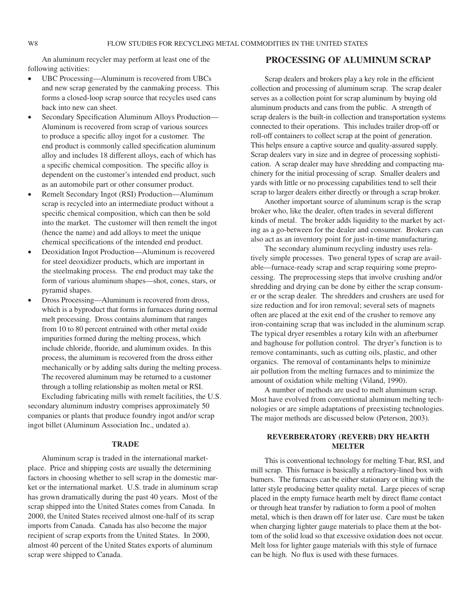An aluminum recycler may perform at least one of the following activities:

- UBC Processing—Aluminum is recovered from UBCs and new scrap generated by the canmaking process. This forms a closed-loop scrap source that recycles used cans back into new can sheet.
- Secondary Specification Aluminum Alloys Production— Aluminum is recovered from scrap of various sources to produce a specific alloy ingot for a customer. The end product is commonly called specification aluminum alloy and includes 18 different alloys, each of which has a specific chemical composition. The specific alloy is dependent on the customer's intended end product, such as an automobile part or other consumer product.
- Remelt Secondary Ingot (RSI) Production—Aluminum scrap is recycled into an intermediate product without a specific chemical composition, which can then be sold into the market. The customer will then remelt the ingot (hence the name) and add alloys to meet the unique chemical specifications of the intended end product.
- Deoxidation Ingot Production—Aluminum is recovered for steel deoxidizer products, which are important in the steelmaking process. The end product may take the form of various aluminum shapes—shot, cones, stars, or pyramid shapes.
- Dross Processing—Aluminum is recovered from dross, which is a byproduct that forms in furnaces during normal melt processing. Dross contains aluminum that ranges from 10 to 80 percent entrained with other metal oxide impurities formed during the melting process, which include chloride, fluoride, and aluminum oxides. In this process, the aluminum is recovered from the dross either mechanically or by adding salts during the melting process. The recovered aluminum may be returned to a customer through a tolling relationship as molten metal or RSI.

Excluding fabricating mills with remelt facilities, the U.S. secondary aluminum industry comprises approximately 50 companies or plants that produce foundry ingot and/or scrap ingot billet (Aluminum Association Inc., undated a).

#### **TRADE**

Aluminum scrap is traded in the international marketplace. Price and shipping costs are usually the determining factors in choosing whether to sell scrap in the domestic market or the international market. U.S. trade in aluminum scrap has grown dramatically during the past 40 years. Most of the scrap shipped into the United States comes from Canada. In 2000, the United States received almost one-half of its scrap imports from Canada. Canada has also become the major recipient of scrap exports from the United States. In 2000, almost 40 percent of the United States exports of aluminum scrap were shipped to Canada.

#### **Processing of Aluminum Scrap**

Scrap dealers and brokers play a key role in the efficient collection and processing of aluminum scrap. The scrap dealer serves as a collection point for scrap aluminum by buying old aluminum products and cans from the public. A strength of scrap dealers is the built-in collection and transportation systems connected to their operations. This includes trailer drop-off or roll-off containers to collect scrap at the point of generation. This helps ensure a captive source and quality-assured supply. Scrap dealers vary in size and in degree of processing sophistication. A scrap dealer may have shredding and compacting machinery for the initial processing of scrap. Smaller dealers and yards with little or no processing capabilities tend to sell their scrap to larger dealers either directly or through a scrap broker.

Another important source of aluminum scrap is the scrap broker who, like the dealer, often trades in several different kinds of metal. The broker adds liquidity to the market by acting as a go-between for the dealer and consumer. Brokers can also act as an inventory point for just-in-time manufacturing.

The secondary aluminum recycling industry uses relatively simple processes. Two general types of scrap are available—furnace-ready scrap and scrap requiring some preprocessing. The preprocessing steps that involve crushing and/or shredding and drying can be done by either the scrap consumer or the scrap dealer. The shredders and crushers are used for size reduction and for iron removal; several sets of magnets often are placed at the exit end of the crusher to remove any iron-containing scrap that was included in the aluminum scrap. The typical dryer resembles a rotary kiln with an afterburner and baghouse for pollution control. The dryer's function is to remove contaminants, such as cutting oils, plastic, and other organics. The removal of contaminants helps to minimize air pollution from the melting furnaces and to minimize the amount of oxidation while melting (Viland, 1990).

A number of methods are used to melt aluminum scrap. Most have evolved from conventional aluminum melting technologies or are simple adaptations of preexisting technologies. The major methods are discussed below (Peterson, 2003).

#### **Reverberatory (Reverb) Dry Hearth Melter**

This is conventional technology for melting T-bar, RSI, and mill scrap. This furnace is basically a refractory-lined box with burners. The furnaces can be either stationary or tilting with the latter style producing better quality metal. Large pieces of scrap placed in the empty furnace hearth melt by direct flame contact or through heat transfer by radiation to form a pool of molten metal, which is then drawn off for later use. Care must be taken when charging lighter gauge materials to place them at the bottom of the solid load so that excessive oxidation does not occur. Melt loss for lighter gauge materials with this style of furnace can be high. No flux is used with these furnaces.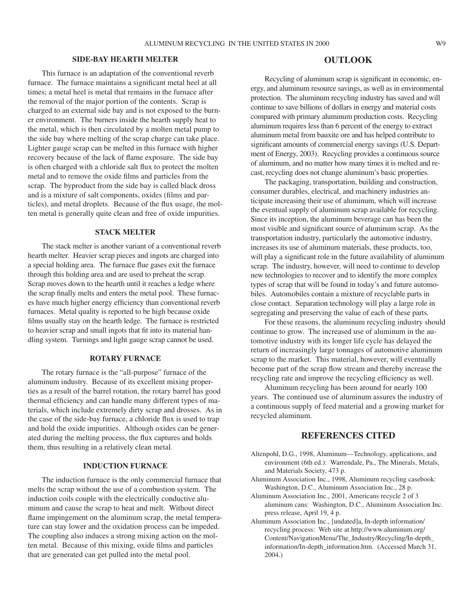#### **Side-Bay Hearth Melter**

This furnace is an adaptation of the conventional reverb furnace. The furnace maintains a significant metal heel at all times; a metal heel is metal that remains in the furnace after the removal of the major portion of the contents. Scrap is charged to an external side bay and is not exposed to the burner environment. The burners inside the hearth supply heat to the metal, which is then circulated by a molten metal pump to the side bay where melting of the scrap charge can take place. Lighter gauge scrap can be melted in this furnace with higher recovery because of the lack of flame exposure. The side bay is often charged with a chloride salt flux to protect the molten metal and to remove the oxide films and particles from the scrap. The byproduct from the side bay is called black dross and is a mixture of salt components, oxides (films and particles), and metal droplets. Because of the flux usage, the molten metal is generally quite clean and free of oxide impurities.

#### **Stack Melter**

The stack melter is another variant of a conventional reverb hearth melter. Heavier scrap pieces and ingots are charged into a special holding area. The furnace flue gases exit the furnace through this holding area and are used to preheat the scrap. Scrap moves down to the hearth until it reaches a ledge where the scrap finally melts and enters the metal pool. These furnaces have much higher energy efficiency than conventional reverb furnaces. Metal quality is reported to be high because oxide films usually stay on the hearth ledge. The furnace is restricted to heavier scrap and small ingots that fit into its material handling system. Turnings and light gauge scrap cannot be used.

#### **Rotary Furnace**

The rotary furnace is the "all-purpose" furnace of the aluminum industry. Because of its excellent mixing properties as a result of the barrel rotation, the rotary barrel has good thermal efficiency and can handle many different types of materials, which include extremely dirty scrap and drosses. As in the case of the side-bay furnace, a chloride flux is used to trap and hold the oxide impurities. Although oxides can be generated during the melting process, the flux captures and holds them, thus resulting in a relatively clean metal.

#### **Induction Furnace**

The induction furnace is the only commercial furnace that melts the scrap without the use of a combustion system. The induction coils couple with the electrically conductive aluminum and cause the scrap to heat and melt. Without direct flame impingement on the aluminum scrap, the metal temperature can stay lower and the oxidation process can be impeded. The coupling also induces a strong mixing action on the molten metal. Because of this mixing, oxide films and particles that are generated can get pulled into the metal pool.

#### **Outlook**

Recycling of aluminum scrap is significant in economic, energy, and aluminum resource savings, as well as in environmental protection. The aluminum recycling industry has saved and will continue to save billions of dollars in energy and material costs compared with primary aluminum production costs. Recycling aluminum requires less than 6 percent of the energy to extract aluminum metal from bauxite ore and has helped contribute to significant amounts of commercial energy savings (U.S. Department of Energy, 2003). Recycling provides a continuous source of aluminum, and no matter how many times it is melted and recast, recycling does not change aluminum's basic properties.

The packaging, transportation, building and construction, consumer durables, electrical, and machinery industries anticipate increasing their use of aluminum, which will increase the eventual supply of aluminum scrap available for recycling. Since its inception, the aluminum beverage can has been the most visible and significant source of aluminum scrap. As the transportation industry, particularly the automotive industry, increases its use of aluminum materials, these products, too, will play a significant role in the future availability of aluminum scrap. The industry, however, will need to continue to develop new technologies to recover and to identify the more complex types of scrap that will be found in today's and future automobiles. Automobiles contain a mixture of recyclable parts in close contact. Separation technology will play a large role in segregating and preserving the value of each of these parts.

For these reasons, the aluminum recycling industry should continue to grow. The increased use of aluminum in the automotive industry with its longer life cycle has delayed the return of increasingly large tonnages of automotive aluminum scrap to the market. This material, however, will eventually become part of the scrap flow stream and thereby increase the recycling rate and improve the recycling efficiency as well.

Aluminum recycling has been around for nearly 100 years. The continued use of aluminum assures the industry of a continuous supply of feed material and a growing market for recycled aluminum.

#### **References Cited**

- Altenpohl, D.G., 1998, Aluminum—Technology, applications, and environment (6th ed.): Warrendale, Pa., The Minerals, Metals, and Materials Society, 473 p.
- Aluminum Association Inc., 1998, Aluminum recycling casebook: Washington, D.C., Aluminum Association Inc., 28 p.
- Aluminum Association Inc., 2001, Americans recycle 2 of 3 aluminum cans: Washington, D.C., Aluminum Association Inc. press release, April 19, 4 p.
- Aluminum Association Inc., [undated]a, In-depth information/ recycling process: Web site at http://www.aluminum.org/ Content/NavigationMenu/The\_Industry/Recycling/In-depth\_ information/In-depth\_information.htm. (Accessed March 31, 2004.)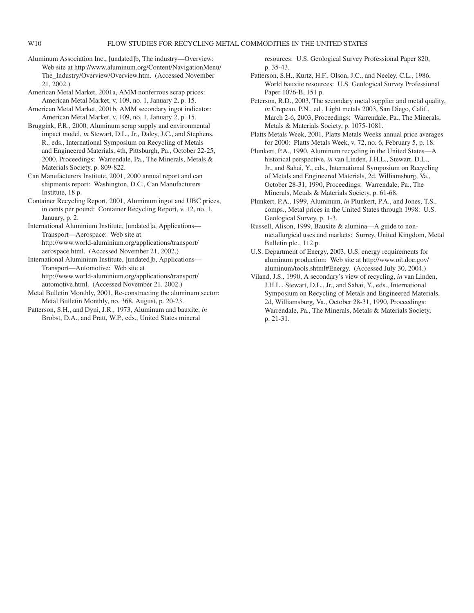Aluminum Association Inc., [undated]b, The industry—Overview: Web site at http://www.aluminum.org/Content/NavigationMenu/ The\_Industry/Overview/Overview.htm. (Accessed November 21, 2002.)

American Metal Market, 2001a, AMM nonferrous scrap prices: American Metal Market, v. 109, no. 1, January 2, p. 15.

American Metal Market, 2001b, AMM secondary ingot indicator: American Metal Market, v. 109, no. 1, January 2, p. 15.

Bruggink, P.R., 2000, Aluminum scrap supply and environmental impact model, *in* Stewart, D.L., Jr., Daley, J.C., and Stephens, R., eds., International Symposium on Recycling of Metals and Engineered Materials, 4th, Pittsburgh, Pa., October 22-25, 2000, Proceedings: Warrendale, Pa., The Minerals, Metals & Materials Society, p. 809-822.

Can Manufacturers Institute, 2001, 2000 annual report and can shipments report: Washington, D.C., Can Manufacturers Institute, 18 p.

Container Recycling Report, 2001, Aluminum ingot and UBC prices, in cents per pound: Container Recycling Report, v. 12, no. 1, January, p. 2.

International Aluminium Institute, [undated]a, Applications— Transport—Aerospace: Web site at http://www.world-aluminium.org/applications/transport/ aerospace.html. (Accessed November 21, 2002.)

International Aluminium Institute, [undated]b, Applications— Transport—Automotive: Web site at http://www.world-aluminium.org/applications/transport/ automotive.html. (Accessed November 21, 2002.)

Metal Bulletin Monthly, 2001, Re-constructing the aluminum sector: Metal Bulletin Monthly, no. 368, August, p. 20-23.

Patterson, S.H., and Dyni, J.R., 1973, Aluminum and bauxite, *in* Brobst, D.A., and Pratt, W.P., eds., United States mineral

resources: U.S. Geological Survey Professional Paper 820, p. 35-43.

Patterson, S.H., Kurtz, H.F., Olson, J.C., and Neeley, C.L., 1986, World bauxite resources: U.S. Geological Survey Professional Paper 1076-B, 151 p.

Peterson, R.D., 2003, The secondary metal supplier and metal quality, *in* Crepeau, P.N., ed., Light metals 2003, San Diego, Calif., March 2-6, 2003, Proceedings: Warrendale, Pa., The Minerals, Metals & Materials Society, p. 1075-1081.

Platts Metals Week, 2001, Platts Metals Weeks annual price averages for 2000: Platts Metals Week, v. 72, no. 6, February 5, p. 18.

Plunkert, P.A., 1990, Aluminum recycling in the United States—A historical perspective, *in* van Linden, J.H.L., Stewart, D.L., Jr., and Sahai, Y., eds., International Symposium on Recycling of Metals and Engineered Materials, 2d, Williamsburg, Va., October 28-31, 1990, Proceedings: Warrendale, Pa., The Minerals, Metals & Materials Society, p. 61-68.

Plunkert, P.A., 1999, Aluminum, *in* Plunkert, P.A., and Jones, T.S., comps., Metal prices in the United States through 1998: U.S. Geological Survey, p. 1-3.

Russell, Alison, 1999, Bauxite & alumina—A guide to nonmetallurgical uses and markets: Surrey, United Kingdom, Metal Bulletin plc., 112 p.

U.S. Department of Energy, 2003, U.S. energy requirements for aluminum production: Web site at http://www.oit.doe.gov/ aluminum/tools.shtml#Energy. (Accessed July 30, 2004.)

Viland, J.S., 1990, A secondary's view of recycling, *in* van Linden, J.H.L., Stewart, D.L., Jr., and Sahai, Y., eds., International Symposium on Recycling of Metals and Engineered Materials, 2d, Williamsburg, Va., October 28-31, 1990, Proceedings: Warrendale, Pa., The Minerals, Metals & Materials Society, p. 21-31.